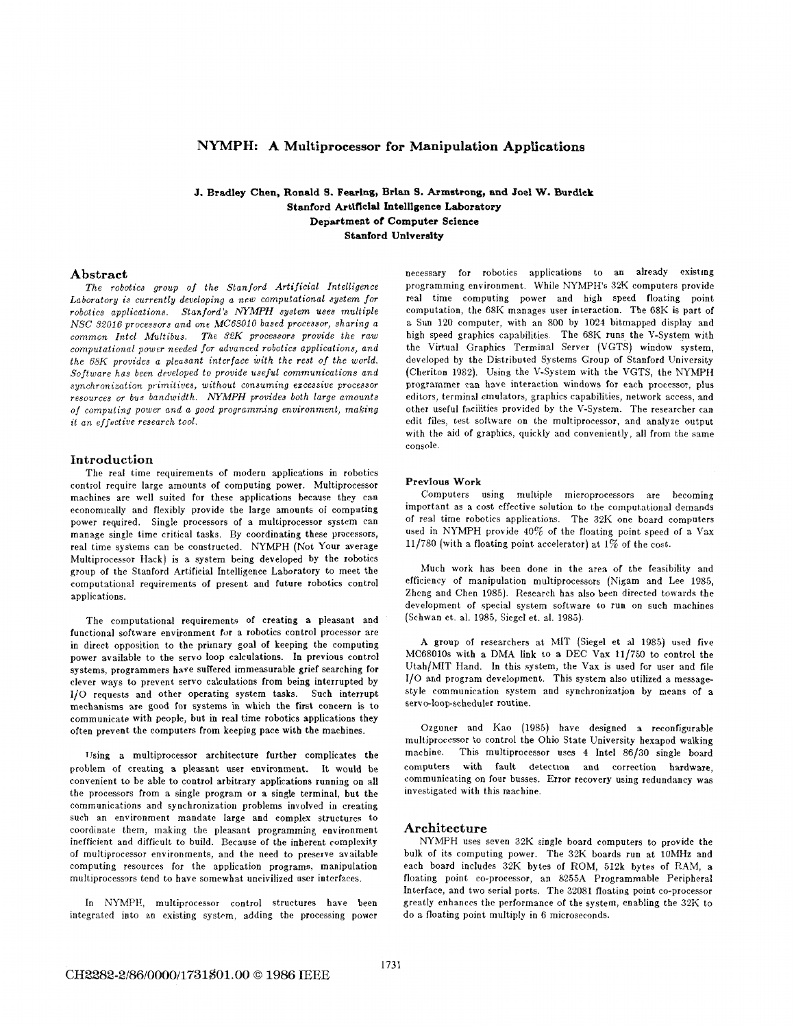# **NYMPH: A Multiprocessor for Manipulation Applications**

## **J.** Bradley Chen, Ronald **9.** Fearing, Brian **9.** Armstrong, and **Joel W.** Burdick Stanford Artificial Intelligence Laboratory Department **of** Computer Science Stanford University

### **Abstract**

*The robotics group ofthe Stanford Artificial Intelligence Laboratorg is currently developing a new computational system for robotics applications. Stanford's NYMPH system uses multiple NSC* 32016 *processors and one* MC68010 *based processor, sharing a common Intel hfultbbus. The 32K processors provide the raw computational power needed for advanced robotics applications, and the 68K provides a pleasant interface with the rest of the world. Software has been developed to provide useful communications and synchronization primitives, without consuming excessive processor resources* or *bus bandwidth. NYMPH provides both large amounts*  of *computing power and a good programming environment, making it an effective research tool.* 

### **Introduction**

The real time requirements of modern applications in robotics control require large amounts of computing power. Multiprocessor machines are well suited for these applications because they can economically and flexibly provide the large amounts of computing power equired. Single processors of a multiprocessor system can manage single time critical tasks. By coordinating these processors, real time systems can be constructed. NYMPH (Not Your average Multiprocessor Hack) is a system being developed by the robotics group of the Stanford Artificial Intelligence Laboratory to meet the computational requirements of present and future robotics control applications.

The computational requirements of creating a pleasant and functional software environment for a robotics control processor are in direct opposition to the primary goal of keeping the computing power available to the servo loop calculations. In previous control systems, programmers have suffered immeasurable grief searching for clever ways to prevent servo calculations from being interrupted by 1/0 requests and other operating system tasks. Such interrupt mechanisms are good for systems in which the first concern is to communicate with people, but in real time robotics applications they often prevent the computers from keeping pace with the machines.

IJsing a multiprocessor architecture further complicates the problem of creating a pleasant user environment. It would be convenient to be able to control arbitrary applications running on all the processors from a single program or a single terminal, but the communications and synchronization problems involved in creating such an environment mandate large and complex structures to coordinate them, making the pleasant programming environment inefficient and difficult to build. Because of the inherent complexity of multiprocessor environments, and the need to preserve available computing resources for the application programs, manipulation multiprocessors tend to have somewhat uncivilized user interfaces.

In NYMPH, multiprocessor control structures have been integrated into an existing system, adding the processing power necessary for robotics applications to an already existing programming environment. While NYMPH'S 32K computers provide real time computing power and high speed floating point computation, the 68K manages user interaction. The 68K is part of a Sun 120 computer, with an 800 by 1024 bitmapped display and high speed graphics capabilities. The 68K runs the V-System with the Virtual Graphics Terminal Server (VGTS) window system, developed by the Distributed Systems Group of Stanford University (Cheriton 1982). Using the V-System with the VGTS, the NYMPH programmer can have interaction windows for each processor, plus editors, terminal emulators, graphics capabilities, network access, and other useful facilities provided by the V-System. The researcher can edit files, test software on the multiprocessor, and analyze output with the aid of graphics, quickly and conveniently, all from the same console.

### **Previous Work**

Computers using multiple microprocessors are becoming important as a cost effective solution to the computational demands of real time robotics applications. The **32K** one board computers used in NYMPH provide  $40\%$  of the floating point speed of a Vax 11/780 (with a floating point accelerator) at 1% of the cost.

Much work has been done in the area of the feasibility and efficiency of manipulation multiprocessors (Nigam and Lee 1985, Zhcng and Chen 1985). Research has also been directed towards the development of special system software to run on such machines (Schwan et. al. 1985, Siegel et. al. 1986).

A group of researchers at MIT (Siegel et a1 1985) used five MC68010s with a DMA link to a DEC Vax **11/750** to control the Utah/MIT Hand. In this system, the Vax is used for user and file 1/0 and program development. This system also utilized a messagestyle communication system and synchronization by means of a servo-loop-scheduler routine.

Ozguner and Kao (1985) have designed a reconfigurable multiprocessor to control the Ohio State University hexapod walking machine. This multiprocessor uses **4** Intel 86/30 single board computers with fault detectlon and correction hardware, communicating on four busses. Error recovery using redundancy was investigated with this machine.

### **Architecture**

NYMPH uses seven 32K single board computers to provide the bulk of its computing power. The 32K boards run at 10MHz and each board includes 32K bytes of ROhl, **5i2k** bytes of **RAM,** a floating point co-processor, an 8255A Programmable Peripheral Interface, and two serial ports. The 32081 floating point co-processor greatly enhances the performance of the system, enabling the 32K to do a floating point multiply in 6 microseconds.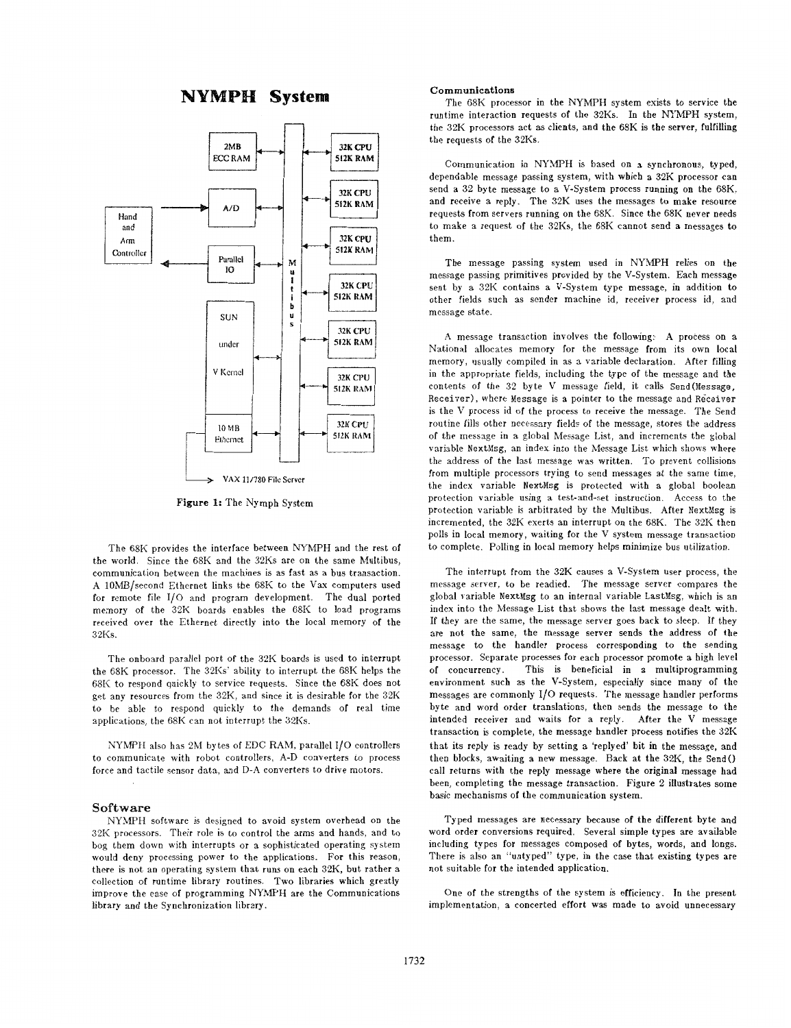# **NYMPH** System



**Figure 1:** The Nymph System

The 68K provides the interface between NYMPH and the rest **of**  the world. Since the 68K and the 32Ks are on the same Multibus, communication between the machines is as fast as a bus transaction. A 10MB/second Ethcrnet links the 68K to the Vax computers used for remote file 1/0 and program development. The dual ported memory of the 32K boards enables the 68K to load programs received over the Ethernet directly into the local memory of the 32Ks.

The onboard parallel port of the 32K boards is used to interrupt the 68K processor. The 32Ks' ability to interrupt the 68K helps the 68K to respond quickly to service requests. Since the 68K does not get any resources from the 32K, and since it is desirable for the 32K to be able to respond quickly to the demands of real time applications, the 68K can not interrupt the 32Ks.

NYhPH also has 2M bytes of EDC **RAM,** parallel 1/0 controllers to communicate with robot controllers, A-D converters to process force and tactile sensor data, and D-A converters to drive motors.

### **Software**

NYMPH software is designed to avoid system overhead on the 39K processors. Their role is to control the arms and hands, and to bog them down with interrupts or a sophisticated operating system would deny processing power to the applications. For this reason, there is not an operating system that runs on each 32K, but rather a collection of runtime library routines. Two libraries which greatly improve the ease of programming **NYMPH** are the Communications library and the Synchronization library.

#### **Communications**

The 68K processor in the NYMPH system exists to service the runtime interaction requests of the 32Ks. In the NYMPH system, the 32K processors act as clients, and the 68K is the server, fulfilling the requests of the 32Ks.

Communication in NYMPH is based on a synchronous, typed, dependable message passing system, with which a 32K processor can send a *32* byte message to *B* V-System process running on the 68K, and receive a reply. The 32K uses the messages to make resource requests from servers running on the 68K. Since the 68K never needs to make a request of the 32Ks, the 68K cannot send a messages to them.

The message passing system used in NYMPH relies on the message passing primitives provided by the V-System. Each message sent by a 32K contains a V-System type message, in addition to other fields such as ender machine id, receiver process id, and message state.

**A** message transaction involves the following: A process on a National allocates memory for the message from its own local memory, usually compiled in as **a** variable declaration. Alter filling in the appropriate fields, including the type of the message and the contents **of** the *32* byte V message field, it calls Send(Message, Receiver), where Message is a pointer to the message and Receiver is the V process id of the process to receive the message. The Send routine fills other necessary fields of the message, stores the address of the message in a global Message List, and increments the global variable NextMsg, an index into the Message List which shows where the address of the last message was written. To prevent collisions from multiple processors trying to send messages at the same time, the index variable NextMsg is protected with a global boolean protection varisble using a test-and-set instruction. Access to the protection variable is arbitrated by the Multibus. After NextMsg is incremented, the 32K exerts an interrupt on the 68K. The 32K then polls in local memory, waiting for the V system message transaction to complete. Polling in local memory helps minimize bus ntilization.

The interrupt from the 32K causes a V-System user process, the message server, to be readied. The message server compares the global variable **NextMsg** to an internal variable Lastlsg, which is an index into the Message List that shows the last message dealt with. If they are the same, the message server goes back to sleep. If they are not the same, the message server sends the address of the message to the handler process corresponding to the sending processor. Separate processes for each processor promote a high level<br>of concurrency. This is beneficial in a multiprogramming This is beneficial in a multiprogramming environment such as the V-System, especially since many of the messages are commonly 1/0 requests. The message handler performs byte and word order translations, then sends the message to the intended receiver and waits for a reply. Alter the V message transaction is complete, the message handler process notifies the 32K that its reply is ready by setting a 'replyed' bit in the message, and then blocks, awaiting a new message. Back at the 32K, the Send() call returns with the reply message where the original message had been, completing the message transaction. Figure 2 illustrates some basic mechanisms of the communication system.

Typed messages are necessary because of the different byte and word order conversions required. Several simple types are available including types **for** messages composed of bytes, words, and longs. There is also an "untyped" type, in the case that existing types are not suitable for the intended application.

One of the strengths OF the system is efficiency. In the present implementation, a concerted effort was made to avoid unnecessary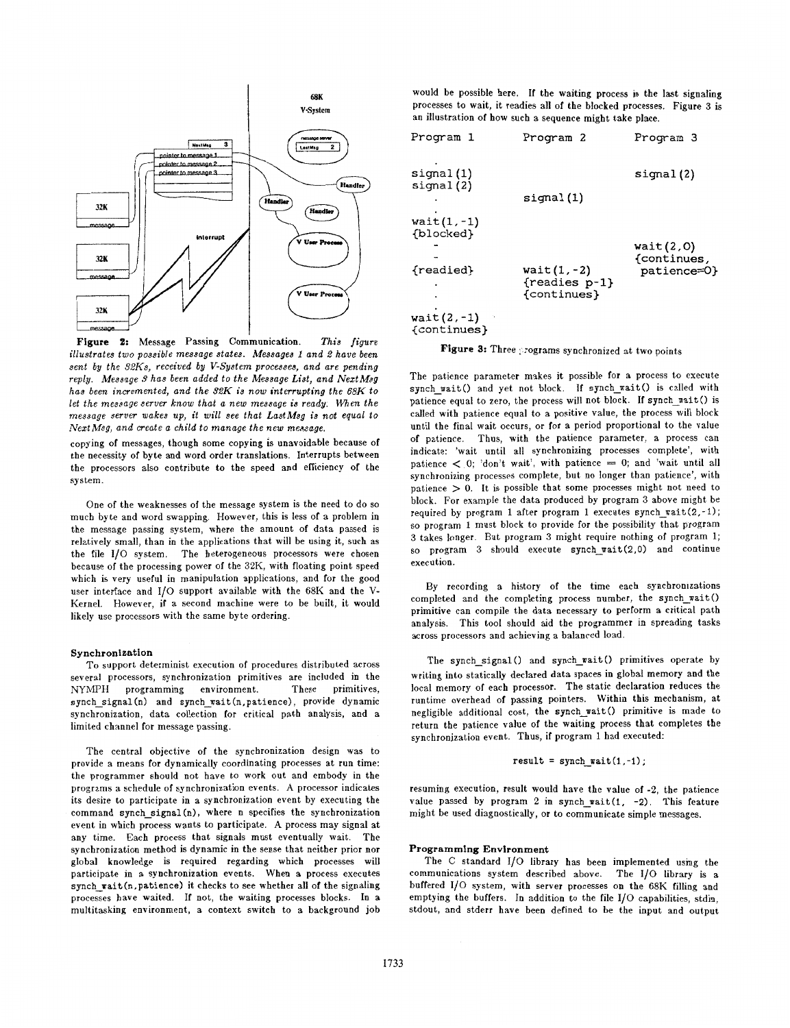

*illustrates two possible message states. Messages 1 and 2 have been sent by the 92Ks, received by V-System processes, and are pending reply. Message 3 has been added to the Message List, and NextMsg has been incremented, and the 32K is now interrupting the 68K to* let the message server know that a new message is ready. When the *message server wakes up, it will see that LastMsg is not equal to*   $NextMsg$ , and create a child to manage the new message.

copying of messages, though some copying is unavoidable because of the necessity of byte and word order translations. Interrupts between the processors also contribute **to** the speed and efficiency **of** the system.

One of the weaknesses of the message system is the need to do so much byte and word swapping. However, this is less of a problem in the message passing system, where the amount of data passed is relatively small, than in the applications that will be using it, such as the file 1/0 system. The heterogeneous processors were chosen because of the processing power of the **32K,** with floating point speed which is very useful in manipulation applications, and for the good user interface and 1/0 support available with the 68K and the V-Kernel. However, if a second machine were to be built, it would likely use processors with the same byte ordering.

#### **Synchronlestion**

To support determinist execution of procedures distributed across several processors, synchronization primitives are included in the NYMPH programming environment. These primitives, NYMPH programming environment. synch\_signal (n) and synch\_wait (n, patience), provide dynamic synchronization, data collection for critical path analysis, and a limited channel for message passing.

The central objective *of* the synchronization design was to provide a means for dynamically coordinating processes at run time: the programmer should not have to work out and embody in the programs a schedule of synchronization events. **A** processor indicates its desire to participate in a synchronization event by executing the command synch-signal (n), where n specifies the synchronization event in which process wants to participate. **A** process may signal at any time. Each process that signals must eventually wait. The synchronization method is dynamic in the sense that neither prior nor global knowledge is required regarding which processes will participate in a synchronization events. When a process executes synch-wait(n, patience) it checks to see whether all of the signaling processes have waited. **If** not, the waiting processes blocks. In a multitasking environment, a context switch to a background job would be possible here. **If** the waiting process is the last signaling processes to wait, it readies all of the blocked processes. Figure **3** is an illustration of how such a sequence might take place.

| Program 1                                                              | Program 2                                     | Program 3                               |
|------------------------------------------------------------------------|-----------------------------------------------|-----------------------------------------|
| signal(1)<br>signal(2)                                                 | signal(1)                                     | signal(2)                               |
| $wait(1, -1)$<br>{blocked}<br>{readied}<br>$wait(2,-1)$<br>{continues} | $wait(1, -2)$<br>{readies p-1}<br>{continues} | wait(2,0)<br>{continues,<br>patience=0} |

Figure 3: Three programs synchronized at two points

The patience parameter makes it possible for a process to execute synch wait() and yet not block. If synch-wait() is called with patience equal to zero, the process will not block. If synch\_wait() is called with patience equal to a positive value, the process will block until the final wait occurs, or for a period proportional to the value of patience. Thus, with the patience parameter, a process can indicate: 'wait until all synchronizing processes complete', with patience < **0;** 'don't wait', with patience = **0;** and 'wait until all synchronizing processes complete, but no longer than patience', with patience > *0.* It is possible that some processes might not need to block. For example the data produced by program *3* above might be required by program 1 after program 1 executes synch  $\text{ratio}(2,-1)$ ; so program 1 must block to provide for the possibility that program **3** takes longer. But program *3* might require nothing of program 1; so program *3* should execute synch-wait(2.0) and continue execution.

By recording a history of the time each synchronizations completed and the completing process number, the synch-wait $()$ primitive can compile the data necessary to perform a critical path analysis. This tool should aid the programmer in spreading tasks across processors and achieving a balanced load.

The synch signal() and synch-wait() primitives operate by writing into statically declared data spaces in global memory and the local memory of each processor. The static declaration reduces the runtime overhead of passing pointers. Within this mechanism, at negligible additional cost, the synch wait() primitive is made to return the patience value of the waiting process that completes the synchronization event. Thus, if program 1 had executed:

$$
result = symbol\_wait(1, -1);
$$

resuming execution, result would have the value of **-2,** the patience value passed by program 2 in synch-wait(1, **-2).** This feature might be used diagnostically, or to communicate simple messages.

### **Programmlng Environment**

The C standard 1/0 library has been implemented using the communications system described above. The **1/0** library is <sup>a</sup> buffered I/O system, with server processes on the 68K filling and emptying the buffers. In addition to the file 1/0 capabilities, stdin, stdout, and stderr have been defined to be the input and output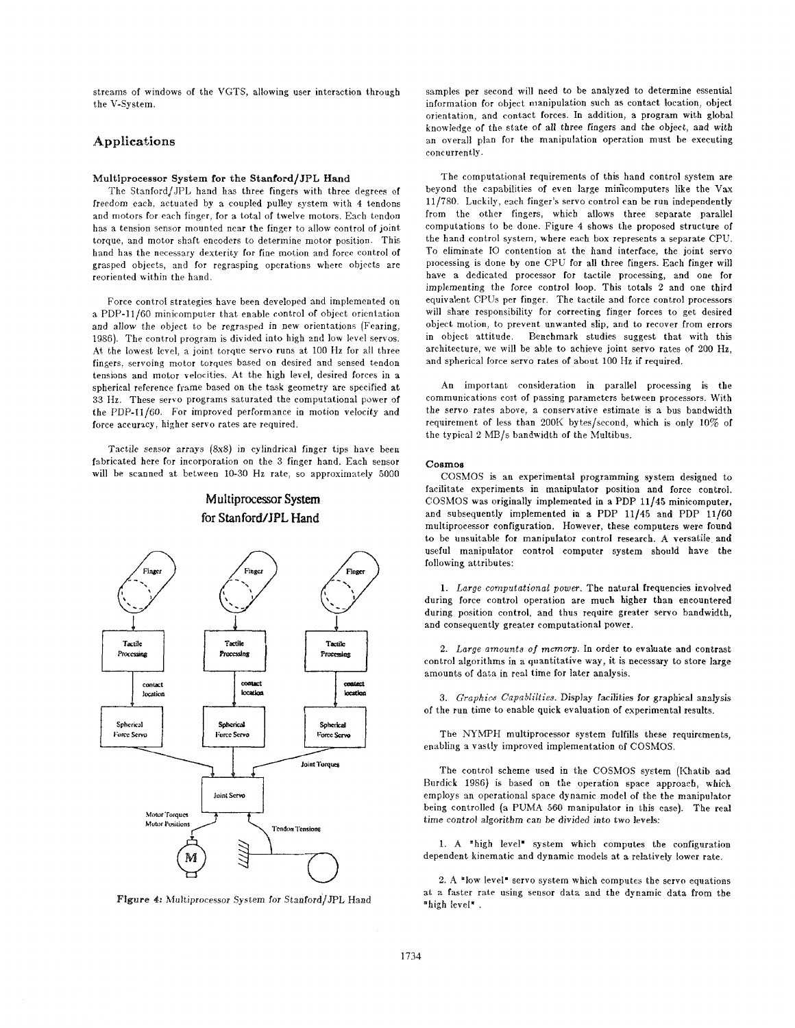streams of windows of the VGTS, allowing user interaction through the V-System.

# Applications

#### **Multiprocessor System for the Stanford/JPL Hand**

The StanfordjJPL hand has three fingers with three degrees of freedom each. actuated by a coupled pulley system with 4 tendons and motors for each finger, for a total of twelve motors. Each tendon has a tension sensor mounted near the finger to allow control of joint torque, and motor shaft encoders to determine motor position. This hand has the necessary dexterity for fine motion and force control of grasped objects, and for regrasping operations where objects are reoriented within the hand.

Force control strategies have been developed and implemented on a PDP-11/60 minicomputer that enable control of object orientation and allow the object to be regrasped in new orientations (Fearing, 1886). The control program is divided into high 2nd low level servos. At the lowest level, a joint torque servo runs at 100 Hz for all three fingers, servoing motor Lorques based on desired and sensed tendon tensions and motor velocities. At the high level, desired forces in a spherical reference frame based on the task geometry are specified at 33 **Hz.** These servo programs saturated the computational power of the PDP-I1/60. For improved performance in motion velocity and force accuracy, higher servo rates are required.

Tactile sensor arrays (8x8) in cylindrical finger tips have been fabricated here for incorporation on the 3 finger hand. Each sensor will be scanned at between 10-30 **Hz** rate, so approximately 5000

**Multiprocessor System** 





samples per second will need to be analyzed to determine essential information for object manipulation such as contact location, object orientation, and contact forces. In addition, a program with global knowledge of the state OF all three fingers and the object, and with an overall plan for the manipulation operation must be executing concurrently.

The computational requirements of this hand control system are beyond the capabilities of even large minicomputers like the Vax 11/780. Luckily, each finger's servo control can be run independently from the other fingers, which allows three separate parallel computations to be done. Figure 4 shows the proposed structure of the hand control system, where each box represents a separate CPU. To eliminate IO contention at the hand interface, the joint servo processing is done by one CPU for all three fingers. Each finger will have a dedicated processor for tactile processing, and one **for**  implementing the force control loop. This totals 2 and one third equivalent CPLJs per finger. The tactile and force control processors will share responsibility for correcting finger forces to get desired object motion, **to** prevent unwanted slip, and to recover from errors in object attitude. Benchmark studies suggest that with this architecture, we will be able to achieve joint servo rates of 200 Hz, and spherical force servo rates of about 100 Hz if required.

An important consideration in parallel processing is the communications cost of passing parameters between processors. With the servo rates above, a conservative estimate is a bus bandwidth requirement of less than 200K bytes/second, which is only 10% of the typical **2** MB/s bandwidth of the Multibus.

#### **cosmos**

COSMOS is an experimental programming system designed to facilitate xperiments in manipulator position and force control. COSMOS was originally implemented in a PDP 11/45 minicomputer, and subsequently implemented in *a* PDP 11/45 and PDP **11/60**  multiprocessor configuration. However, these computers werc found to be unsuitable for manipulator control research. **A** versatile and useful manipulator control computer system should **have** the following attributes:

**1.** *Large computational power.* The natural frequencies involved during force control operation are much higher than encountered during position control, and thus require greater servo bandwidth, and consequently greater computational power.

**2.** *Large amounts* of *memory.* In order to evaluate and contrast control algorithms in a quantitative way, **it** is necessary to store large amounts of data in real time for later analysis.

3. *Graphics* Capablikies. Display facilities for graphical analysis of the run time to enable quick evaluation of experimental results.

The NYMPH multiprocessor system fulfills these requirements, enabling a vastly improved implementation of COSMOS.

The control scheme used in the COSMOS system (Khatib and Burdick 1986) is based on the operation space approach, which employs an operational space dynamic model of the the manipulator being controlled (a **PUMA** 560 manipulator in this case). The real time control algorithm can be divided into two levels:

**1.** A "high level' system which computes the configuration dependent kinematic and dynamic models at a relatively lower rate.

2. A "low level" servo system which computes the servo equations at a faster rate using sensor data and the dynamic data from the "high level".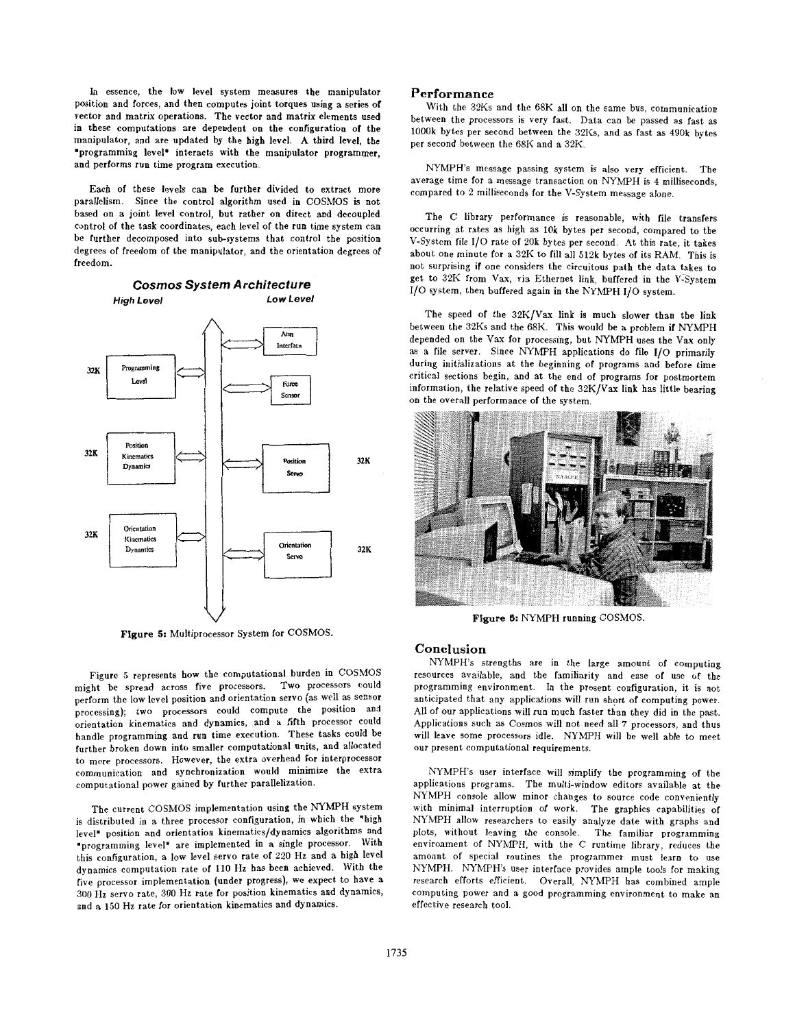In essence, the low level system measures the manipulator position and forces, and then computes joint torques using a series of vector and matrix operations. The vector and matrix elements used in these computations are dependent on the configuration of the manipulator, and are updated by the high level. **A** third level, the 'programming level' interacts with the manipulator programmer, and performs run time program execution.

Each of these levels can be further divided **to** extract more parallelism. Since the control algorithm used in COSMOS is not based on a joint level control, but rather on direct and decoupled control of the task coordinates, each level **of** the run time system can be further decomposed into sub-systems that control the position degrees of freedom of the manipulator, and the orientation degrees of freedom.



**Figure 5:** Multiprocessor System for COSMOS.

Figure 5 represents how the computational burden in COSMOS might be spread across five processors. Two processors could perform the low level position and orientation servo (as well as sensor processing); two processors could compute the position and orientation kinematics and dynamics, and a fifth processor could rientation kinematics and dynamics, and a fifth processor could andle programming and run time execution. These tasks further broken down into smaller computational units, and allocated to more processors. However, the extra overhead for interprocessor communication ad synchronization would minimize the extra computational power gained by further parallelization.

The current COSMOS implementation using the NYMPH system is distributed in a three processor configuration, in which the "high level" position and orientation kinematics/dynamics algorithms and 'programming level" are implemented in a single processor. With this configuration, a low level servo rate of **220** Hz and a high level dynamics computation rate of **110** Hz has been achieved. With the five processor implementation (under progress), we expect to have a 300 Hz servo rate, 300 Hz rate for position kinematics and dynamics, and a **150** Hz rate for orientation kinematics and dynamics.

# **Performance**

With the 32Ks and the 68K all on the same bus, communication between the processors is very fast. Data can be passed as fast as 1000k bytes per second between the 32Ks, and as fast as 490k bytes per second between the 68K and a 32K.

NYMPH's message passing system is also very efficient. The average time for a message transaction on NYMPH is **4** milliseconds, compared to 2 milliseconds for the V-System message alone.

The C library performance is reasonable, with file transfers occurring at rates as high as 10k bytes per second, compared to the V-System file I/O rate **of** 20k bytes per second. At this rate, it takes about one minute for a 32K to **fill** all 512k bytes of its RAM. This is not surprising if one considers the circuitous path the data takes to get to 32K from Vax, via Ethernet link, buffered in the V-System 1/0 system, then buffered again in the NYMPH 1/0 system.

The speed of the 32K/Vax link is much slower than the link between the 32Ks and the 68K. This would be a problem if **NYMPH**  depended on the Vax for processing, but NYMPH uses the Vax only as a file server. Since NYMPH applications do file 1/0 primarily during initializations at the beginning of programs and before time critical sections begin, and at the end of programs for postmortem information, the relative speed of the 32K/Vax link has little bearing on the overall performance of the system.



**Figure** *6:* NYMPH running COSMOS.

#### **Conclusion**

NYMPH's strengths are in the large amount of computing resources available, and the familiarity and ease of use of the programming environment. In the present configuration, it is not anticipated that any applications will run short of computing power. All of our applications will run much faster than they did in the past. Applications such as Cosmos will not need all **7** processors, and thus will leave some processors idle. NYMPH will be well able to meet our present computational requirements.

NYMPH'S user interface will simplify the programming of the applications programs. The multi-window editors available at the NYMPH console allow minor changes to source code conveniently with minimal interruption of work. The graphics capabilities **of**  NYMPH allow researchers to easily analyze date with graphs and plots, without leaving the console. The familiar programming environment of NYMPH, with the C runtime library, reduces the amount of special routines the programmer must learn to use NYMPH. KYMPH's user interface provides ample tools for making research efforts efficient. Overall, NYMPH has combined ample computing power and a good programming environment to make an effective research tool.